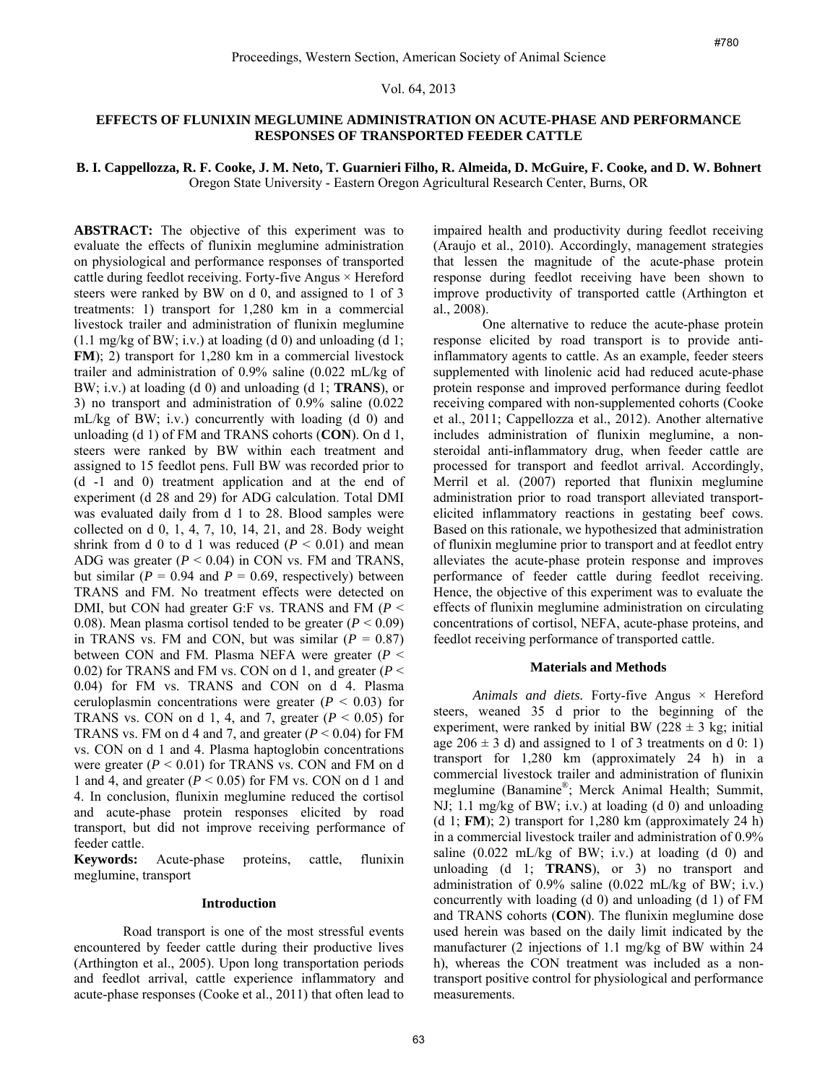### Vol. 64, 2013

# **EFFECTS OF FLUNIXIN MEGLUMINE ADMINISTRATION ON ACUTE-PHASE AND PERFORMANCE RESPONSES OF TRANSPORTED FEEDER CATTLE**

# **B. I. Cappellozza, R. F. Cooke, J. M. Neto, T. Guarnieri Filho, R. Almeida, D. McGuire, F. Cooke, and D. W. Bohnert**  Oregon State University - Eastern Oregon Agricultural Research Center, Burns, OR

**ABSTRACT:** The objective of this experiment was to evaluate the effects of flunixin meglumine administration on physiological and performance responses of transported cattle during feedlot receiving. Forty-five Angus  $\times$  Hereford steers were ranked by BW on d 0, and assigned to 1 of 3 treatments: 1) transport for 1,280 km in a commercial livestock trailer and administration of flunixin meglumine  $(1.1 \text{ mg/kg of BW}; i.v.)$  at loading  $(d 0)$  and unloading  $(d 1;$ **FM**); 2) transport for 1,280 km in a commercial livestock trailer and administration of 0.9% saline (0.022 mL/kg of BW; i.v.) at loading (d 0) and unloading (d 1; **TRANS**), or 3) no transport and administration of 0.9% saline (0.022 mL/kg of BW; i.v.) concurrently with loading (d 0) and unloading (d 1) of FM and TRANS cohorts (**CON**). On d 1, steers were ranked by BW within each treatment and assigned to 15 feedlot pens. Full BW was recorded prior to (d -1 and 0) treatment application and at the end of experiment (d 28 and 29) for ADG calculation. Total DMI was evaluated daily from d 1 to 28. Blood samples were collected on d 0, 1, 4, 7, 10, 14, 21, and 28. Body weight shrink from d 0 to d 1 was reduced  $(P < 0.01)$  and mean ADG was greater  $(P < 0.04)$  in CON vs. FM and TRANS, but similar  $(P = 0.94$  and  $P = 0.69$ , respectively) between TRANS and FM. No treatment effects were detected on DMI, but CON had greater G:F vs. TRANS and FM (*P* < 0.08). Mean plasma cortisol tended to be greater  $(P < 0.09)$ in TRANS vs. FM and CON, but was similar  $(P = 0.87)$ between CON and FM. Plasma NEFA were greater (*P* < 0.02) for TRANS and FM vs. CON on d 1, and greater (*P* < 0.04) for FM vs. TRANS and CON on d 4. Plasma ceruloplasmin concentrations were greater  $(P < 0.03)$  for TRANS vs. CON on d 1, 4, and 7, greater  $(P < 0.05)$  for TRANS vs. FM on d 4 and 7, and greater  $(P < 0.04)$  for FM vs. CON on d 1 and 4. Plasma haptoglobin concentrations were greater  $(P < 0.01)$  for TRANS vs. CON and FM on d 1 and 4, and greater  $(P < 0.05)$  for FM vs. CON on d 1 and 4. In conclusion, flunixin meglumine reduced the cortisol and acute-phase protein responses elicited by road transport, but did not improve receiving performance of feeder cattle.

**Keywords:** Acute-phase proteins, cattle, flunixin meglumine, transport

### **Introduction**

Road transport is one of the most stressful events encountered by feeder cattle during their productive lives (Arthington et al., 2005). Upon long transportation periods and feedlot arrival, cattle experience inflammatory and acute-phase responses (Cooke et al., 2011) that often lead to

impaired health and productivity during feedlot receiving (Araujo et al., 2010). Accordingly, management strategies that lessen the magnitude of the acute-phase protein response during feedlot receiving have been shown to improve productivity of transported cattle (Arthington et al., 2008).

One alternative to reduce the acute-phase protein response elicited by road transport is to provide antiinflammatory agents to cattle. As an example, feeder steers supplemented with linolenic acid had reduced acute-phase protein response and improved performance during feedlot receiving compared with non-supplemented cohorts (Cooke et al., 2011; Cappellozza et al., 2012). Another alternative includes administration of flunixin meglumine, a nonsteroidal anti-inflammatory drug, when feeder cattle are processed for transport and feedlot arrival. Accordingly, Merril et al. (2007) reported that flunixin meglumine administration prior to road transport alleviated transportelicited inflammatory reactions in gestating beef cows. Based on this rationale, we hypothesized that administration of flunixin meglumine prior to transport and at feedlot entry alleviates the acute-phase protein response and improves performance of feeder cattle during feedlot receiving. Hence, the objective of this experiment was to evaluate the effects of flunixin meglumine administration on circulating concentrations of cortisol, NEFA, acute-phase proteins, and feedlot receiving performance of transported cattle. merican Society of Animal Science *FR60*<br>**54, 2013**<br>**64, 2013**<br>**64, 2013**<br>**64, 2013**<br>**CRATION ON ACUTE-PHASE AND PERFORMANCE<br><b>ORTED FEEDER CATTLE.**<br>**FRATION ON ACUTE-PHASE AND PERFORMANCE**<br>**67. Darbively from Explicit** 

#### **Materials and Methods**

*Animals and diets.* Forty-five Angus × Hereford steers, weaned 35 d prior to the beginning of the experiment, were ranked by initial BW ( $228 \pm 3$  kg; initial age  $206 \pm 3$  d) and assigned to 1 of 3 treatments on d 0: 1) transport for 1,280 km (approximately 24 h) in a commercial livestock trailer and administration of flunixin meglumine (Banamine®; Merck Animal Health; Summit, NJ; 1.1 mg/kg of BW; i.v.) at loading (d 0) and unloading (d 1; **FM**); 2) transport for 1,280 km (approximately 24 h) in a commercial livestock trailer and administration of 0.9% saline  $(0.022 \text{ mL/kg of BW}; i.v.)$  at loading  $(d\ 0)$  and unloading (d 1; **TRANS**), or 3) no transport and administration of  $0.9\%$  saline  $(0.022 \text{ mL/kg of BW}; i.v.)$ concurrently with loading (d 0) and unloading (d 1) of FM and TRANS cohorts (**CON**). The flunixin meglumine dose used herein was based on the daily limit indicated by the manufacturer (2 injections of 1.1 mg/kg of BW within 24 h), whereas the CON treatment was included as a nontransport positive control for physiological and performance measurements.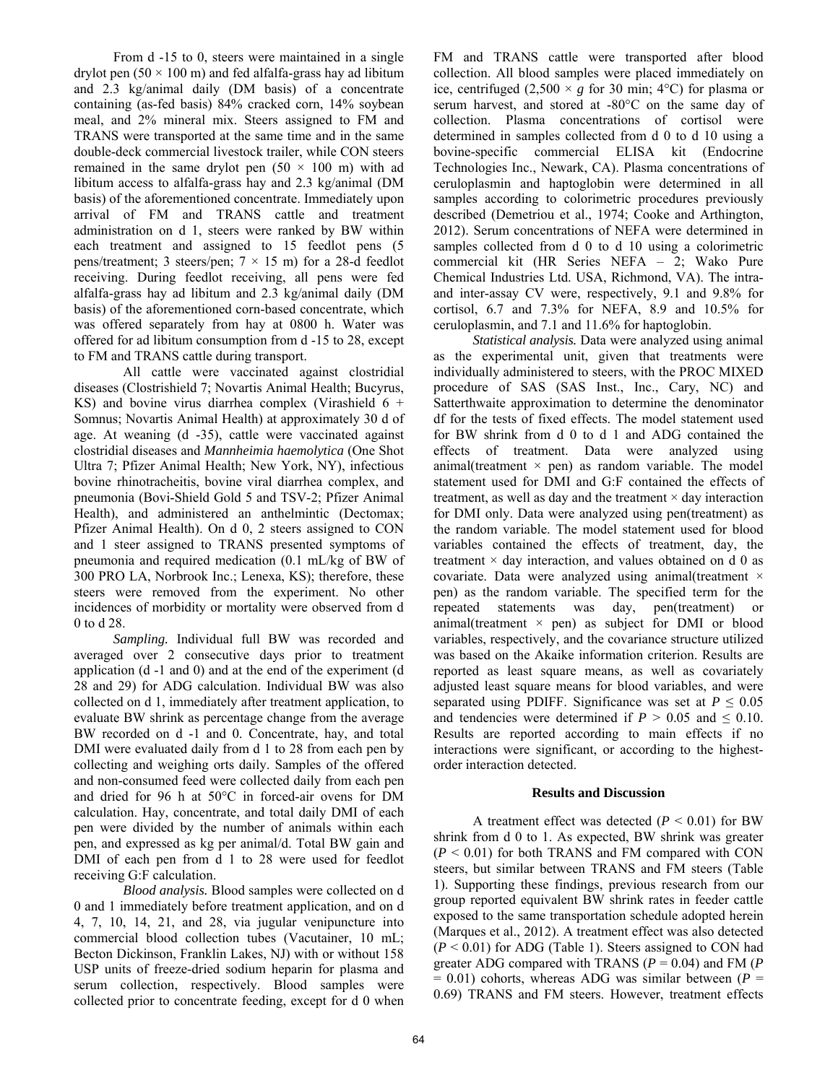From d -15 to 0, steers were maintained in a single drylot pen  $(50 \times 100 \text{ m})$  and fed alfalfa-grass hay ad libitum and 2.3 kg/animal daily (DM basis) of a concentrate containing (as-fed basis) 84% cracked corn, 14% soybean meal, and 2% mineral mix. Steers assigned to FM and TRANS were transported at the same time and in the same double-deck commercial livestock trailer, while CON steers remained in the same drylot pen  $(50 \times 100 \text{ m})$  with ad libitum access to alfalfa-grass hay and 2.3 kg/animal (DM basis) of the aforementioned concentrate. Immediately upon arrival of FM and TRANS cattle and treatment administration on d 1, steers were ranked by BW within each treatment and assigned to 15 feedlot pens (5 pens/treatment; 3 steers/pen; 7 × 15 m) for a 28-d feedlot receiving. During feedlot receiving, all pens were fed alfalfa-grass hay ad libitum and 2.3 kg/animal daily (DM basis) of the aforementioned corn-based concentrate, which was offered separately from hay at 0800 h. Water was offered for ad libitum consumption from d -15 to 28, except to FM and TRANS cattle during transport.

All cattle were vaccinated against clostridial diseases (Clostrishield 7; Novartis Animal Health; Bucyrus, KS) and bovine virus diarrhea complex (Virashield  $6 +$ Somnus; Novartis Animal Health) at approximately 30 d of age. At weaning (d -35), cattle were vaccinated against clostridial diseases and *Mannheimia haemolytica* (One Shot Ultra 7; Pfizer Animal Health; New York, NY), infectious bovine rhinotracheitis, bovine viral diarrhea complex, and pneumonia (Bovi-Shield Gold 5 and TSV-2; Pfizer Animal Health), and administered an anthelmintic (Dectomax; Pfizer Animal Health). On d 0, 2 steers assigned to CON and 1 steer assigned to TRANS presented symptoms of pneumonia and required medication (0.1 mL/kg of BW of 300 PRO LA, Norbrook Inc.; Lenexa, KS); therefore, these steers were removed from the experiment. No other incidences of morbidity or mortality were observed from d 0 to d 28.

*Sampling.* Individual full BW was recorded and averaged over 2 consecutive days prior to treatment application (d -1 and 0) and at the end of the experiment (d 28 and 29) for ADG calculation. Individual BW was also collected on d 1, immediately after treatment application, to evaluate BW shrink as percentage change from the average BW recorded on d -1 and 0. Concentrate, hay, and total DMI were evaluated daily from d 1 to 28 from each pen by collecting and weighing orts daily. Samples of the offered and non-consumed feed were collected daily from each pen and dried for 96 h at 50°C in forced-air ovens for DM calculation. Hay, concentrate, and total daily DMI of each pen were divided by the number of animals within each pen, and expressed as kg per animal/d. Total BW gain and DMI of each pen from d 1 to 28 were used for feedlot receiving G:F calculation.

*Blood analysis.* Blood samples were collected on d 0 and 1 immediately before treatment application, and on d 4, 7, 10, 14, 21, and 28, via jugular venipuncture into commercial blood collection tubes (Vacutainer, 10 mL; Becton Dickinson, Franklin Lakes, NJ) with or without 158 USP units of freeze-dried sodium heparin for plasma and serum collection, respectively. Blood samples were collected prior to concentrate feeding, except for d 0 when

FM and TRANS cattle were transported after blood collection. All blood samples were placed immediately on ice, centrifuged  $(2,500 \times g$  for 30 min; 4°C) for plasma or serum harvest, and stored at -80°C on the same day of collection. Plasma concentrations of cortisol were determined in samples collected from d 0 to d 10 using a bovine-specific commercial ELISA kit (Endocrine Technologies Inc., Newark, CA). Plasma concentrations of ceruloplasmin and haptoglobin were determined in all samples according to colorimetric procedures previously described (Demetriou et al., 1974; Cooke and Arthington, 2012). Serum concentrations of NEFA were determined in samples collected from d 0 to d 10 using a colorimetric commercial kit (HR Series NEFA – 2; Wako Pure Chemical Industries Ltd. USA, Richmond, VA). The intraand inter-assay CV were, respectively, 9.1 and 9.8% for cortisol, 6.7 and 7.3% for NEFA, 8.9 and 10.5% for ceruloplasmin, and 7.1 and 11.6% for haptoglobin.

*Statistical analysis.* Data were analyzed using animal as the experimental unit, given that treatments were individually administered to steers, with the PROC MIXED procedure of SAS (SAS Inst., Inc., Cary, NC) and Satterthwaite approximation to determine the denominator df for the tests of fixed effects. The model statement used for BW shrink from d 0 to d 1 and ADG contained the effects of treatment. Data were analyzed using animal(treatment  $\times$  pen) as random variable. The model statement used for DMI and G:F contained the effects of treatment, as well as day and the treatment  $\times$  day interaction for DMI only. Data were analyzed using pen(treatment) as the random variable. The model statement used for blood variables contained the effects of treatment, day, the treatment  $\times$  day interaction, and values obtained on d 0 as covariate. Data were analyzed using animal(treatment × pen) as the random variable. The specified term for the repeated statements was day, pen(treatment) or animal(treatment  $\times$  pen) as subject for DMI or blood variables, respectively, and the covariance structure utilized was based on the Akaike information criterion. Results are reported as least square means, as well as covariately adjusted least square means for blood variables, and were separated using PDIFF. Significance was set at  $P \leq 0.05$ and tendencies were determined if  $P > 0.05$  and  $\leq 0.10$ . Results are reported according to main effects if no interactions were significant, or according to the highestorder interaction detected.

### **Results and Discussion**

A treatment effect was detected  $(P < 0.01)$  for BW shrink from d 0 to 1. As expected, BW shrink was greater  $(P < 0.01)$  for both TRANS and FM compared with CON steers, but similar between TRANS and FM steers (Table 1). Supporting these findings, previous research from our group reported equivalent BW shrink rates in feeder cattle exposed to the same transportation schedule adopted herein (Marques et al., 2012). A treatment effect was also detected (*P* < 0.01) for ADG (Table 1). Steers assigned to CON had greater ADG compared with TRANS ( $P = 0.04$ ) and FM ( $P$ )  $= 0.01$ ) cohorts, whereas ADG was similar between ( $P =$ 0.69) TRANS and FM steers. However, treatment effects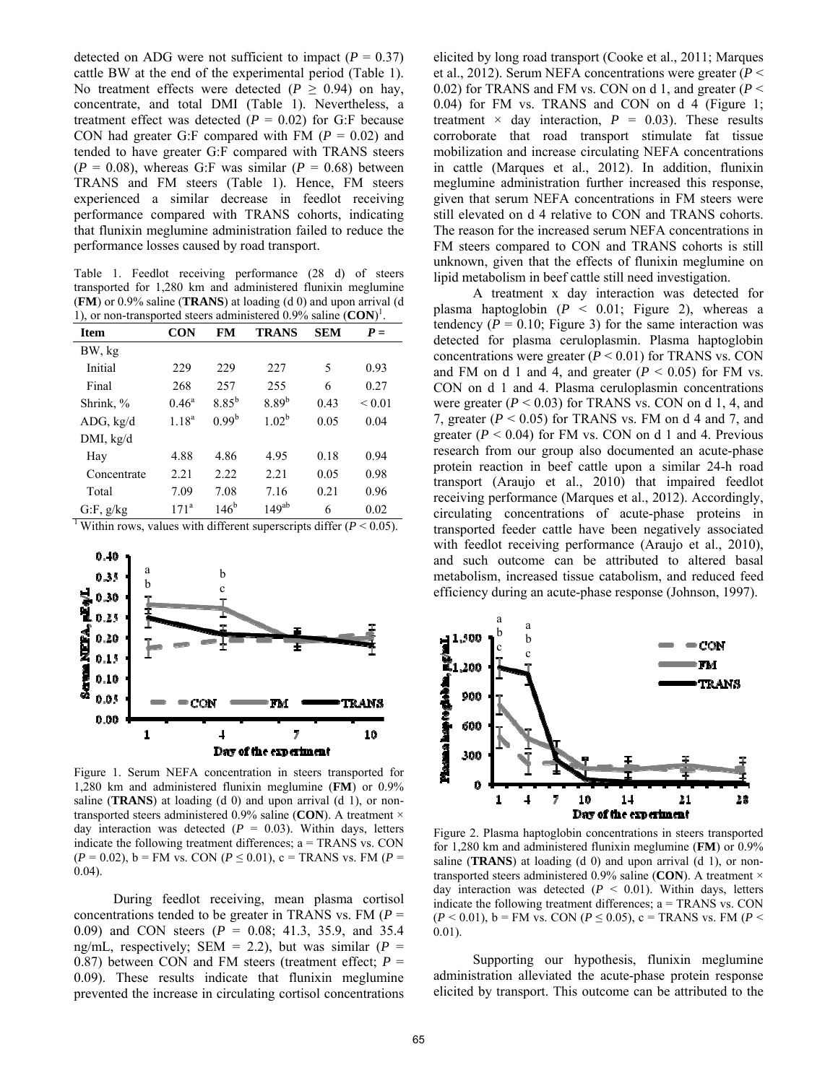detected on ADG were not sufficient to impact  $(P = 0.37)$ cattle BW at the end of the experimental period (Table 1). No treatment effects were detected ( $P \ge 0.94$ ) on hay, concentrate, and total DMI (Table 1). Nevertheless, a treatment effect was detected  $(P = 0.02)$  for G:F because CON had greater G:F compared with FM  $(P = 0.02)$  and tended to have greater G:F compared with TRANS steers  $(P = 0.08)$ , whereas G:F was similar  $(P = 0.68)$  between TRANS and FM steers (Table 1). Hence, FM steers experienced a similar decrease in feedlot receiving performance compared with TRANS cohorts, indicating that flunixin meglumine administration failed to reduce the performance losses caused by road transport.

Table 1. Feedlot receiving performance (28 d) of steers transported for 1,280 km and administered flunixin meglumine (**FM**) or 0.9% saline (**TRANS**) at loading (d 0) and upon arrival (d 1), or non-transported steers administered 0.9% saline (**CON**) 1 .

| <b>Item</b> | <b>CON</b>       | FM                | <b>TRANS</b>      | <b>SEM</b> | $P =$       |
|-------------|------------------|-------------------|-------------------|------------|-------------|
| BW, kg      |                  |                   |                   |            |             |
| Initial     | 229              | 229               | 227               | 5          | 0.93        |
| Final       | 268              | 257               | 255               | 6          | 0.27        |
| Shrink, %   | $0.46^{\circ}$   | $8.85^b$          | $8.89^{b}$        | 0.43       | ${}_{0.01}$ |
| ADG, kg/d   | $1.18^{a}$       | 0.99 <sup>b</sup> | 1.02 <sup>b</sup> | 0.05       | 0.04        |
| DMI, kg/d   |                  |                   |                   |            |             |
| Hay         | 4.88             | 4.86              | 4.95              | 0.18       | 0.94        |
| Concentrate | 2.21             | 2.22              | 2.21              | 0.05       | 0.98        |
| Total       | 7.09             | 7.08              | 7.16              | 0.21       | 0.96        |
| G.F, g/kg   | 171 <sup>a</sup> | 146 <sup>b</sup>  | $149^{ab}$        | 6          | 0.02        |

<sup>1</sup> Within rows, values with different superscripts differ ( $P < 0.05$ ).



Figure 1. Serum NEFA concentration in steers transported for 1,280 km and administered flunixin meglumine (**FM**) or 0.9% saline (**TRANS**) at loading (d 0) and upon arrival (d 1), or nontransported steers administered 0.9% saline (**CON**). A treatment × day interaction was detected  $(P = 0.03)$ . Within days, letters indicate the following treatment differences; a = TRANS vs. CON  $(P = 0.02)$ , b = FM vs. CON  $(P \le 0.01)$ , c = TRANS vs. FM  $(P = 0.02)$ 0.04).

During feedlot receiving, mean plasma cortisol concentrations tended to be greater in TRANS vs. FM (*P* = 0.09) and CON steers (*P* = 0.08; 41.3, 35.9, and 35.4 ng/mL, respectively; SEM = 2.2), but was similar  $(P =$ 0.87) between CON and FM steers (treatment effect;  $P =$ 0.09). These results indicate that flunixin meglumine prevented the increase in circulating cortisol concentrations

elicited by long road transport (Cooke et al., 2011; Marques et al., 2012). Serum NEFA concentrations were greater (*P* < 0.02) for TRANS and FM vs. CON on d 1, and greater (*P* < 0.04) for FM vs. TRANS and CON on d 4 (Figure 1; treatment  $\times$  day interaction,  $P = 0.03$ ). These results corroborate that road transport stimulate fat tissue mobilization and increase circulating NEFA concentrations in cattle (Marques et al., 2012). In addition, flunixin meglumine administration further increased this response, given that serum NEFA concentrations in FM steers were still elevated on d 4 relative to CON and TRANS cohorts. The reason for the increased serum NEFA concentrations in FM steers compared to CON and TRANS cohorts is still unknown, given that the effects of flunixin meglumine on lipid metabolism in beef cattle still need investigation.

A treatment x day interaction was detected for plasma haptoglobin  $(P < 0.01$ ; Figure 2), whereas a tendency  $(P = 0.10$ ; Figure 3) for the same interaction was detected for plasma ceruloplasmin. Plasma haptoglobin concentrations were greater  $(P < 0.01)$  for TRANS vs. CON and FM on d 1 and 4, and greater  $(P < 0.05)$  for FM vs. CON on d 1 and 4. Plasma ceruloplasmin concentrations were greater  $(P < 0.03)$  for TRANS vs. CON on d 1, 4, and 7, greater  $(P < 0.05)$  for TRANS vs. FM on d 4 and 7, and greater  $(P < 0.04)$  for FM vs. CON on d 1 and 4. Previous research from our group also documented an acute-phase protein reaction in beef cattle upon a similar 24-h road transport (Araujo et al., 2010) that impaired feedlot receiving performance (Marques et al., 2012). Accordingly, circulating concentrations of acute-phase proteins in transported feeder cattle have been negatively associated with feedlot receiving performance (Araujo et al., 2010), and such outcome can be attributed to altered basal metabolism, increased tissue catabolism, and reduced feed efficiency during an acute-phase response (Johnson, 1997).



Figure 2. Plasma haptoglobin concentrations in steers transported for 1,280 km and administered flunixin meglumine (**FM**) or 0.9% saline (**TRANS**) at loading (d 0) and upon arrival (d 1), or nontransported steers administered 0.9% saline (**CON**). A treatment × day interaction was detected  $(P < 0.01)$ . Within days, letters indicate the following treatment differences; a = TRANS vs. CON  $(P < 0.01)$ , b = FM vs. CON ( $P \le 0.05$ ), c = TRANS vs. FM ( $P <$ 0.01).

Supporting our hypothesis, flunixin meglumine administration alleviated the acute-phase protein response elicited by transport. This outcome can be attributed to the